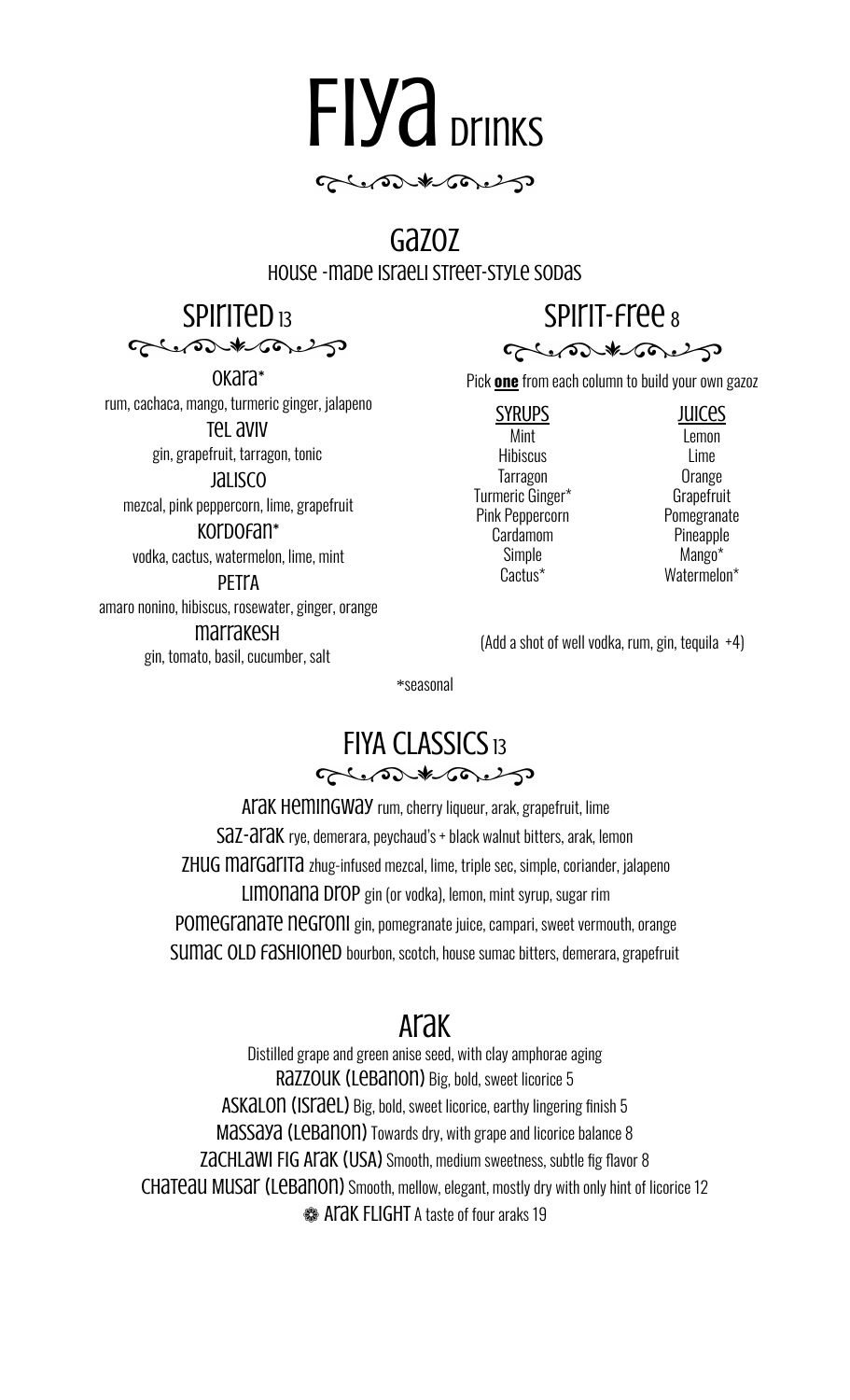

#### Gazoz house -made Israeli street-style sodas

SPIITED<sub>13</sub> Crostboard

Okara\* rum, cachaca, mango, turmeric ginger, jalapeno Tel aviv gin, grapefruit, tarragon, tonic

Jalisco mezcal, pink peppercorn, lime, grapefruit Kordofan\*

vodka, cactus, watermelon, lime, mint

**PFTLA** amaro nonino, hibiscus, rosewater, ginger, orange marrakesh gin, tomato, basil, cucumber, salt

# SPIIT-Free 8



Pick **one** from each column to build your own gazoz

SYRUPS Mint **Hibiscus Tarragon** Turmeric Ginger\* Pink Peppercorn Cardamom Simple Cactus\*

Juices Lemon Lime **Orange Grapefruit Pomegranate** Pineapple Mango\* Watermelon\*

(Add a shot of well vodka, rum, gin, tequila +4)

\*seasonal

### **FIYA CLASSICS 13** Glenson # 500 g

Arak hemingway rum, cherry liqueur, arak, grapefruit, lime SaZ-araK rye, demerara, peychaud's + black walnut bitters, arak, lemon Zhug margarita zhug-infused mezcal, lime, triple sec, simple, coriander, jalapeno Limonana Drop gin (or vodka), lemon, mint syrup, sugar rim Pomegranate negroni gin, pomegranate juice, campari, sweet vermouth, orange SUMAC OLD FASHIONED bourbon, scotch, house sumac bitters, demerara, grapefruit

# Arak

Distilled grape and green anise seed, with clay amphorae aging Razzouk (Lebanon) Big, bold, sweet licorice 5 Askalon (Israel) Big, bold, sweet licorice, earthy lingering finish 5 Massaya (Lebanon) Towards dry, with grape and licorice balance 8 ZACHLAWI FIG ATAK (USA) Smooth, medium sweetness, subtle fig flavor 8 CHATE au MUSA (LEBANON) Smooth, mellow, elegant, mostly dry with only hint of licorice 12 **SOMET A LACK FLIGHT A taste of four araks 19**